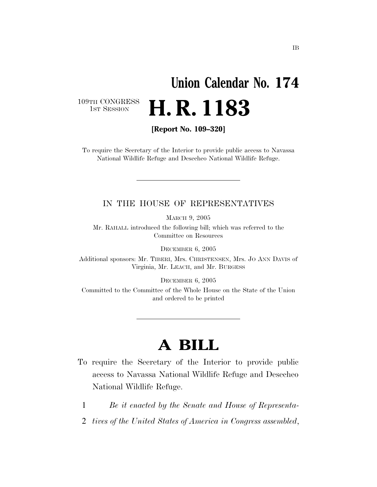## **Union Calendar No. 174**  H. R. 1183

109TH CONGRESS<br>1st Session

**[Report No. 109–320]** 

To require the Secretary of the Interior to provide public access to Navassa National Wildlife Refuge and Desecheo National Wildlife Refuge.

#### IN THE HOUSE OF REPRESENTATIVES

MARCH 9, 2005

Mr. RAHALL introduced the following bill; which was referred to the Committee on Resources

DECEMBER 6, 2005

Additional sponsors: Mr. TIBERI, Mrs. CHRISTENSEN, Mrs. JO ANN DAVIS of Virginia, Mr. LEACH, and Mr. BURGESS

DECEMBER 6, 2005

Committed to the Committee of the Whole House on the State of the Union and ordered to be printed

### **A BILL**

- To require the Secretary of the Interior to provide public access to Navassa National Wildlife Refuge and Desecheo National Wildlife Refuge.
	- 1 *Be it enacted by the Senate and House of Representa-*
	- 2 *tives of the United States of America in Congress assembled*,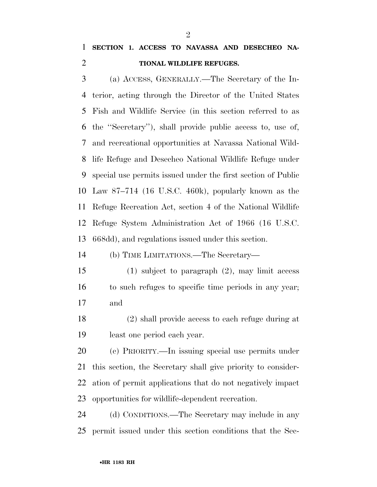### **SECTION 1. ACCESS TO NAVASSA AND DESECHEO NA-TIONAL WILDLIFE REFUGES.**

 (a) ACCESS, GENERALLY.—The Secretary of the In- terior, acting through the Director of the United States Fish and Wildlife Service (in this section referred to as the ''Secretary''), shall provide public access to, use of, and recreational opportunities at Navassa National Wild- life Refuge and Desecheo National Wildlife Refuge under special use permits issued under the first section of Public Law 87–714 (16 U.S.C. 460k), popularly known as the Refuge Recreation Act, section 4 of the National Wildlife Refuge System Administration Act of 1966 (16 U.S.C. 668dd), and regulations issued under this section.

(b) TIME LIMITATIONS.—The Secretary—

- (1) subject to paragraph (2), may limit access to such refuges to specific time periods in any year; and
- (2) shall provide access to each refuge during at least one period each year.
- (c) PRIORITY.—In issuing special use permits under this section, the Secretary shall give priority to consider- ation of permit applications that do not negatively impact opportunities for wildlife-dependent recreation.

 (d) CONDITIONS.—The Secretary may include in any permit issued under this section conditions that the Sec-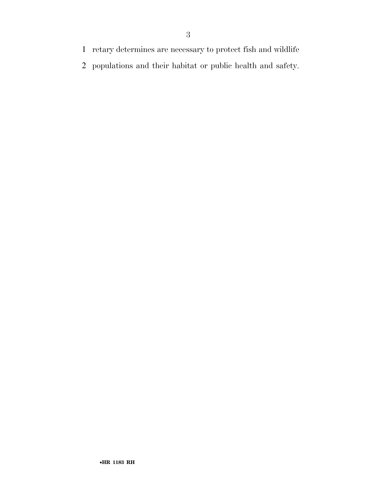- retary determines are necessary to protect fish and wildlife
- populations and their habitat or public health and safety.